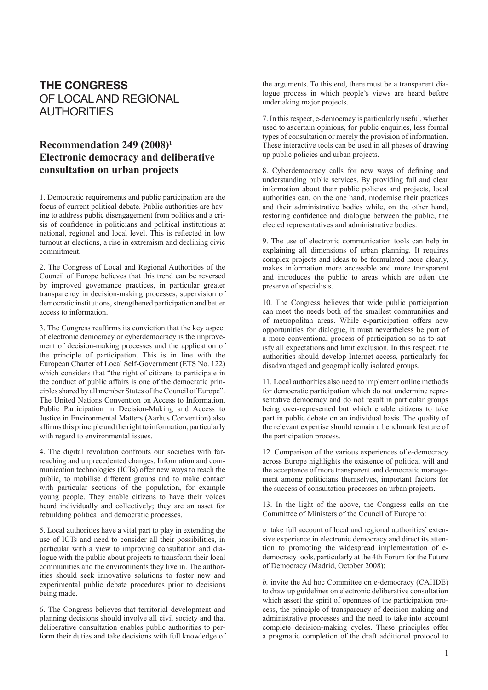## **THE CONGRESS** OF LOCAL AND REGIONAL AUTHORITIES

## **Recommendation 249 (2008)1 Electronic democracy and deliberative consultation on urban projects**

1. Democratic requirements and public participation are the focus of current political debate. Public authorities are having to address public disengagement from politics and a crisis of confidence in politicians and political institutions at national, regional and local level. This is reflected in low turnout at elections, a rise in extremism and declining civic commitment.

2. The Congress of Local and Regional Authorities of the Council of Europe believes that this trend can be reversed by improved governance practices, in particular greater transparency in decision-making processes, supervision of democratic institutions, strengthened participation and better access to information.

3. The Congress reaffirms its conviction that the key aspect of electronic democracy or cyberdemocracy is the improvement of decision-making processes and the application of the principle of participation. This is in line with the European Charter of Local Self-Government (ETS No. 122) which considers that "the right of citizens to participate in the conduct of public affairs is one of the democratic principles shared by all member States of the Council of Europe". The United Nations Convention on Access to Information, Public Participation in Decision-Making and Access to Justice in Environmental Matters (Aarhus Convention) also affirms this principle and the right to information, particularly with regard to environmental issues.

4. The digital revolution confronts our societies with farreaching and unprecedented changes. Information and communication technologies (ICTs) offer new ways to reach the public, to mobilise different groups and to make contact with particular sections of the population, for example young people. They enable citizens to have their voices heard individually and collectively; they are an asset for rebuilding political and democratic processes.

5. Local authorities have a vital part to play in extending the use of ICTs and need to consider all their possibilities, in particular with a view to improving consultation and dialogue with the public about projects to transform their local communities and the environments they live in. The authorities should seek innovative solutions to foster new and experimental public debate procedures prior to decisions being made.

6. The Congress believes that territorial development and planning decisions should involve all civil society and that deliberative consultation enables public authorities to perform their duties and take decisions with full knowledge of the arguments. To this end, there must be a transparent dialogue process in which people's views are heard before undertaking major projects.

7. In this respect, e-democracy is particularly useful, whether used to ascertain opinions, for public enquiries, less formal types of consultation or merely the provision of information. These interactive tools can be used in all phases of drawing up public policies and urban projects.

8. Cyberdemocracy calls for new ways of defining and understanding public services. By providing full and clear information about their public policies and projects, local authorities can, on the one hand, modernise their practices and their administrative bodies while, on the other hand, restoring confidence and dialogue between the public, the elected representatives and administrative bodies.

9. The use of electronic communication tools can help in explaining all dimensions of urban planning. It requires complex projects and ideas to be formulated more clearly, makes information more accessible and more transparent and introduces the public to areas which are often the preserve of specialists.

10. The Congress believes that wide public participation can meet the needs both of the smallest communities and of metropolitan areas. While e-participation offers new opportunities for dialogue, it must nevertheless be part of a more conventional process of participation so as to satisfy all expectations and limit exclusion. In this respect, the authorities should develop Internet access, particularly for disadvantaged and geographically isolated groups.

11. Local authorities also need to implement online methods for democratic participation which do not undermine representative democracy and do not result in particular groups being over-represented but which enable citizens to take part in public debate on an individual basis. The quality of the relevant expertise should remain a benchmark feature of the participation process.

12. Comparison of the various experiences of e-democracy across Europe highlights the existence of political will and the acceptance of more transparent and democratic management among politicians themselves, important factors for the success of consultation processes on urban projects.

13. In the light of the above, the Congress calls on the Committee of Ministers of the Council of Europe to:

*a.* take full account of local and regional authorities' extensive experience in electronic democracy and direct its attention to promoting the widespread implementation of edemocracy tools, particularly at the 4th Forum for the Future of Democracy (Madrid, October 2008);

*b.* invite the Ad hoc Committee on e-democracy (CAHDE) to draw up guidelines on electronic deliberative consultation which assert the spirit of openness of the participation process, the principle of transparency of decision making and administrative processes and the need to take into account complete decision-making cycles. These principles offer a pragmatic completion of the draft additional protocol to